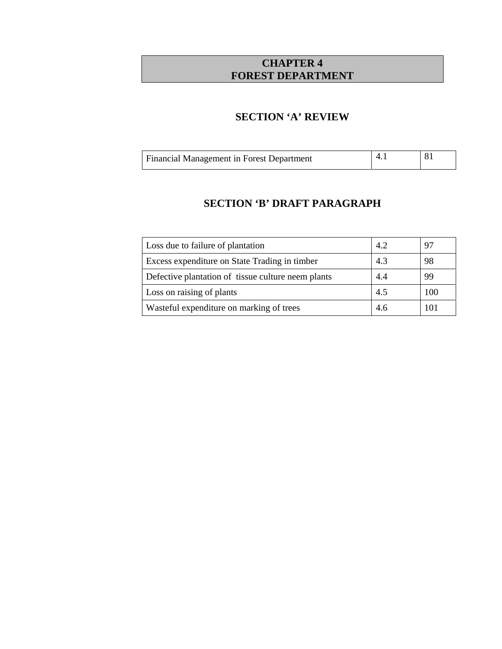# **CHAPTER 4 FOREST DEPARTMENT**

# **SECTION 'A' REVIEW**

| <b>Financial Management in Forest Department</b> |  |  |
|--------------------------------------------------|--|--|
|--------------------------------------------------|--|--|

# **SECTION 'B' DRAFT PARAGRAPH**

| Loss due to failure of plantation                  | 4.2 | 97  |
|----------------------------------------------------|-----|-----|
| Excess expenditure on State Trading in timber      | 4.3 | 98  |
| Defective plantation of tissue culture neem plants | 4.4 | 99  |
| Loss on raising of plants                          | 4.5 | 100 |
| Wasteful expenditure on marking of trees           | 4.6 |     |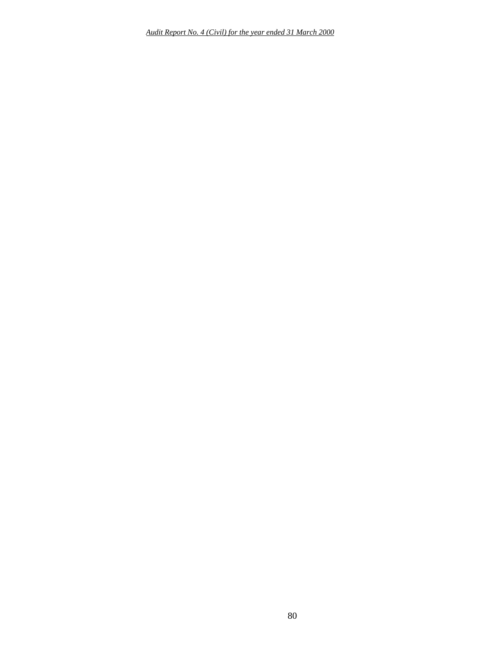*Audit Report No. 4 (Civil) for the year ended 31 March 2000*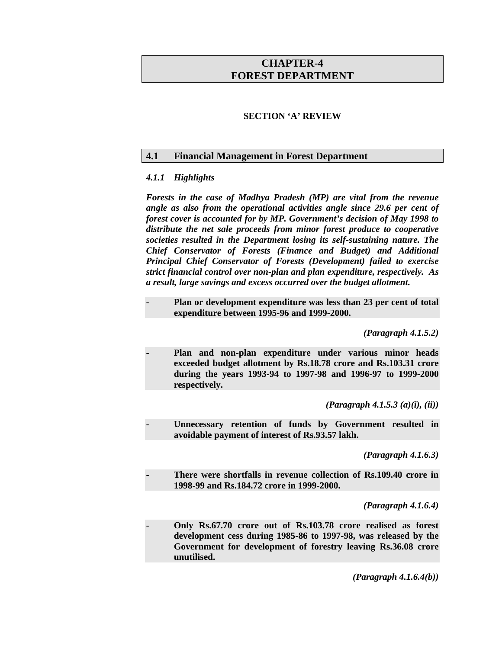# **CHAPTER-4 FOREST DEPARTMENT**

# **SECTION 'A' REVIEW**

### **4.1 Financial Management in Forest Department**

# *4.1.1 Highlights*

*Forests in the case of Madhya Pradesh (MP) are vital from the revenue angle as also from the operational activities angle since 29.6 per cent of forest cover is accounted for by MP. Government's decision of May 1998 to distribute the net sale proceeds from minor forest produce to cooperative societies resulted in the Department losing its self-sustaining nature. The Chief Conservator of Forests (Finance and Budget) and Additional Principal Chief Conservator of Forests (Development) failed to exercise strict financial control over non-plan and plan expenditure, respectively. As a result, large savings and excess occurred over the budget allotment.* 

**- Plan or development expenditure was less than 23 per cent of total expenditure between 1995-96 and 1999-2000.** 

*(Paragraph 4.1.5.2)* 

**- Plan and non-plan expenditure under various minor heads exceeded budget allotment by Rs.18.78 crore and Rs.103.31 crore during the years 1993-94 to 1997-98 and 1996-97 to 1999-2000 respectively.** 

*(Paragraph 4.1.5.3 (a)(i), (ii))*

Unnecessary retention of funds by Government resulted in **avoidable payment of interest of Rs.93.57 lakh.** 

*(Paragraph 4.1.6.3)*

**- There were shortfalls in revenue collection of Rs.109.40 crore in 1998-99 and Rs.184.72 crore in 1999-2000.** 

*(Paragraph 4.1.6.4)* 

**- Only Rs.67.70 crore out of Rs.103.78 crore realised as forest development cess during 1985-86 to 1997-98, was released by the Government for development of forestry leaving Rs.36.08 crore unutilised.** 

*(Paragraph 4.1.6.4(b))*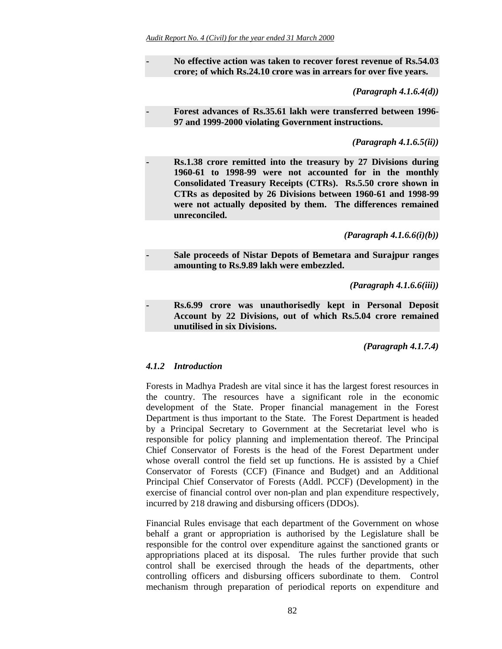**- No effective action was taken to recover forest revenue of Rs.54.03 crore; of which Rs.24.10 crore was in arrears for over five years.** 

*(Paragraph 4.1.6.4(d))* 

**- Forest advances of Rs.35.61 lakh were transferred between 1996- 97 and 1999-2000 violating Government instructions.** 

*(Paragraph 4.1.6.5(ii))*

**- Rs.1.38 crore remitted into the treasury by 27 Divisions during 1960-61 to 1998-99 were not accounted for in the monthly Consolidated Treasury Receipts (CTRs). Rs.5.50 crore shown in CTRs as deposited by 26 Divisions between 1960-61 and 1998-99 were not actually deposited by them. The differences remained unreconciled.** 

*(Paragraph 4.1.6.6(i)(b))* 

**- Sale proceeds of Nistar Depots of Bemetara and Surajpur ranges amounting to Rs.9.89 lakh were embezzled.** 

*(Paragraph 4.1.6.6(iii))* 

**- Rs.6.99 crore was unauthorisedly kept in Personal Deposit Account by 22 Divisions, out of which Rs.5.04 crore remained unutilised in six Divisions.** 

*(Paragraph 4.1.7.4)* 

### *4.1.2 Introduction*

Forests in Madhya Pradesh are vital since it has the largest forest resources in the country. The resources have a significant role in the economic development of the State. Proper financial management in the Forest Department is thus important to the State. The Forest Department is headed by a Principal Secretary to Government at the Secretariat level who is responsible for policy planning and implementation thereof. The Principal Chief Conservator of Forests is the head of the Forest Department under whose overall control the field set up functions. He is assisted by a Chief Conservator of Forests (CCF) (Finance and Budget) and an Additional Principal Chief Conservator of Forests (Addl. PCCF) (Development) in the exercise of financial control over non-plan and plan expenditure respectively, incurred by 218 drawing and disbursing officers (DDOs).

Financial Rules envisage that each department of the Government on whose behalf a grant or appropriation is authorised by the Legislature shall be responsible for the control over expenditure against the sanctioned grants or appropriations placed at its disposal. The rules further provide that such control shall be exercised through the heads of the departments, other controlling officers and disbursing officers subordinate to them. Control mechanism through preparation of periodical reports on expenditure and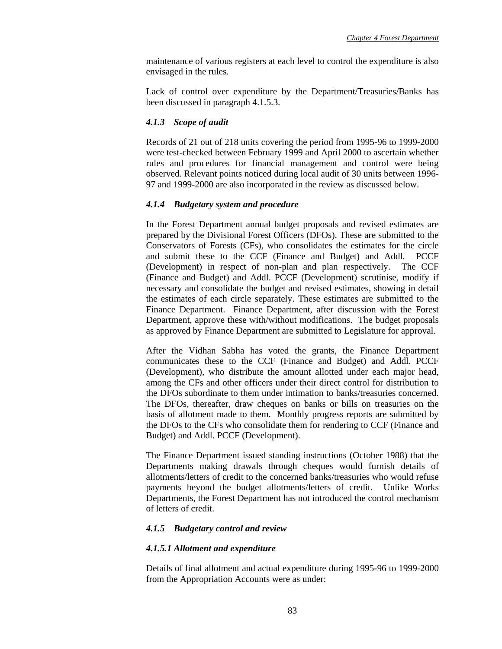maintenance of various registers at each level to control the expenditure is also envisaged in the rules.

Lack of control over expenditure by the Department/Treasuries/Banks has been discussed in paragraph 4.1.5.3.

# *4.1.3 Scope of audit*

Records of 21 out of 218 units covering the period from 1995-96 to 1999-2000 were test-checked between February 1999 and April 2000 to ascertain whether rules and procedures for financial management and control were being observed. Relevant points noticed during local audit of 30 units between 1996- 97 and 1999-2000 are also incorporated in the review as discussed below.

# *4.1.4 Budgetary system and procedure*

In the Forest Department annual budget proposals and revised estimates are prepared by the Divisional Forest Officers (DFOs). These are submitted to the Conservators of Forests (CFs), who consolidates the estimates for the circle and submit these to the CCF (Finance and Budget) and Addl. PCCF (Development) in respect of non-plan and plan respectively. The CCF (Finance and Budget) and Addl. PCCF (Development) scrutinise, modify if necessary and consolidate the budget and revised estimates, showing in detail the estimates of each circle separately. These estimates are submitted to the Finance Department. Finance Department, after discussion with the Forest Department, approve these with/without modifications. The budget proposals as approved by Finance Department are submitted to Legislature for approval.

After the Vidhan Sabha has voted the grants, the Finance Department communicates these to the CCF (Finance and Budget) and Addl. PCCF (Development), who distribute the amount allotted under each major head, among the CFs and other officers under their direct control for distribution to the DFOs subordinate to them under intimation to banks/treasuries concerned. The DFOs, thereafter, draw cheques on banks or bills on treasuries on the basis of allotment made to them. Monthly progress reports are submitted by the DFOs to the CFs who consolidate them for rendering to CCF (Finance and Budget) and Addl. PCCF (Development).

The Finance Department issued standing instructions (October 1988) that the Departments making drawals through cheques would furnish details of allotments/letters of credit to the concerned banks/treasuries who would refuse payments beyond the budget allotments/letters of credit. Unlike Works Departments, the Forest Department has not introduced the control mechanism of letters of credit.

# *4.1.5 Budgetary control and review*

# *4.1.5.1 Allotment and expenditure*

Details of final allotment and actual expenditure during 1995-96 to 1999-2000 from the Appropriation Accounts were as under: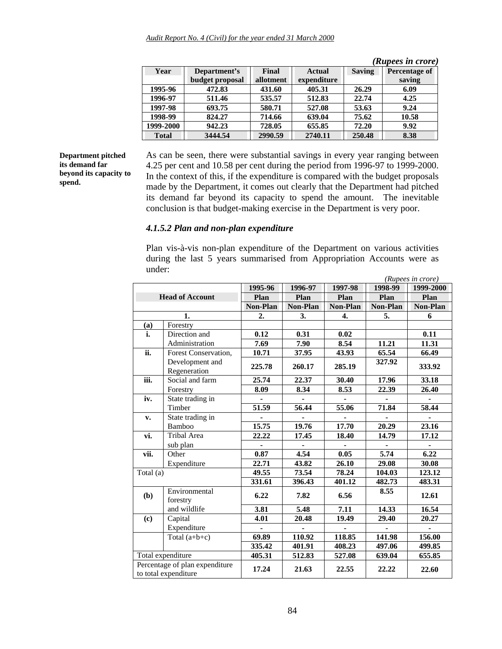| Year         | Department's    | Final     | <b>Actual</b> | <b>Saving</b> | <b>Percentage of</b> |
|--------------|-----------------|-----------|---------------|---------------|----------------------|
|              | budget proposal | allotment | expenditure   |               | saving               |
| 1995-96      | 472.83          | 431.60    | 405.31        | 26.29         | 6.09                 |
| 1996-97      | 511.46          | 535.57    | 512.83        | 22.74         | 4.25                 |
| 1997-98      | 693.75          | 580.71    | 527.08        | 53.63         | 9.24                 |
| 1998-99      | 824.27          | 714.66    | 639.04        | 75.62         | 10.58                |
| 1999-2000    | 942.23          | 728.05    | 655.85        | 72.20         | 9.92                 |
| <b>Total</b> | 3444.54         | 2990.59   | 2740.11       | 250.48        | 8.38                 |

*(Rupees in crore)* 

*(Rupees in crore)*

**Department pitched its demand far beyond its capacity to spend.** 

As can be seen, there were substantial savings in every year ranging between 4.25 per cent and 10.58 per cent during the period from 1996-97 to 1999-2000. In the context of this, if the expenditure is compared with the budget proposals made by the Department, it comes out clearly that the Department had pitched its demand far beyond its capacity to spend the amount. The inevitable conclusion is that budget-making exercise in the Department is very poor.

#### *4.1.5.2 Plan and non-plan expenditure*

Plan vis-à-vis non-plan expenditure of the Department on various activities during the last 5 years summarised from Appropriation Accounts were as under:

| 1995-96<br>1996-97<br>1997-98<br>1998-99 |                                                        |          |                 |                 |             | $\mu$ ( <i>IMPECS III CTOTE</i> )<br>1999-2000 |
|------------------------------------------|--------------------------------------------------------|----------|-----------------|-----------------|-------------|------------------------------------------------|
| <b>Head of Account</b>                   |                                                        | Plan     | Plan            | Plan            | <b>Plan</b> | Plan                                           |
|                                          |                                                        | Non-Plan | <b>Non-Plan</b> | <b>Non-Plan</b> | Non-Plan    | <b>Non-Plan</b>                                |
|                                          | 1.                                                     | 2.       | 3.              | 4.              | 5.          | 6                                              |
| (a)                                      | Forestry                                               |          |                 |                 |             |                                                |
| i.                                       | Direction and                                          | 0.12     | 0.31            | 0.02            |             | 0.11                                           |
|                                          | Administration                                         | 7.69     | 7.90            | 8.54            | 11.21       | 11.31                                          |
| ii.                                      | Forest Conservation,                                   | 10.71    | 37.95           | 43.93           | 65.54       | 66.49                                          |
|                                          | Development and<br>Regeneration                        | 225.78   | 260.17          | 285.19          | 327.92      | 333.92                                         |
| iii.                                     | Social and farm                                        | 25.74    | 22.37           | 30.40           | 17.96       | 33.18                                          |
|                                          | Forestry                                               | 8.09     | 8.34            | 8.53            | 22.39       | 26.40                                          |
| iv.                                      | State trading in                                       |          |                 |                 |             |                                                |
|                                          | Timber                                                 | 51.59    | 56.44           | 55.06           | 71.84       | 58.44                                          |
| $\mathbf{v}$ .                           | State trading in                                       |          |                 |                 |             |                                                |
|                                          | Bamboo                                                 | 15.75    | 19.76           | 17.70           | 20.29       | 23.16                                          |
| vi.                                      | Tribal Area                                            | 22.22    | 17.45           | 18.40           | 14.79       | 17.12                                          |
|                                          | sub plan                                               |          |                 |                 |             |                                                |
| vii.                                     | Other                                                  | 0.87     | 4.54            | 0.05            | 5.74        | 6.22                                           |
|                                          | Expenditure                                            | 22.71    | 43.82           | 26.10           | 29.08       | 30.08                                          |
| Total (a)                                |                                                        | 49.55    | 73.54           | 78.24           | 104.03      | 123.12                                         |
|                                          |                                                        | 331.61   | 396.43          | 401.12          | 482.73      | 483.31                                         |
| (b)                                      | Environmental<br>forestry                              | 6.22     | 7.82            | 6.56            | 8.55        | 12.61                                          |
|                                          | and wildlife                                           | 3.81     | 5.48            | 7.11            | 14.33       | 16.54                                          |
| $\left( \mathbf{c} \right)$              | Capital                                                | 4.01     | 20.48           | 19.49           | 29.40       | 20.27                                          |
|                                          | Expenditure                                            |          |                 |                 |             |                                                |
|                                          | Total $(a+b+c)$                                        | 69.89    | 110.92          | 118.85          | 141.98      | 156.00                                         |
|                                          |                                                        | 335.42   | 401.91          | 408.23          | 497.06      | 499.85                                         |
|                                          | Total expenditure                                      | 405.31   | 512.83          | 527.08          | 639.04      | 655.85                                         |
|                                          | Percentage of plan expenditure<br>to total expenditure | 17.24    | 21.63           | 22.55           | 22.22       | 22.60                                          |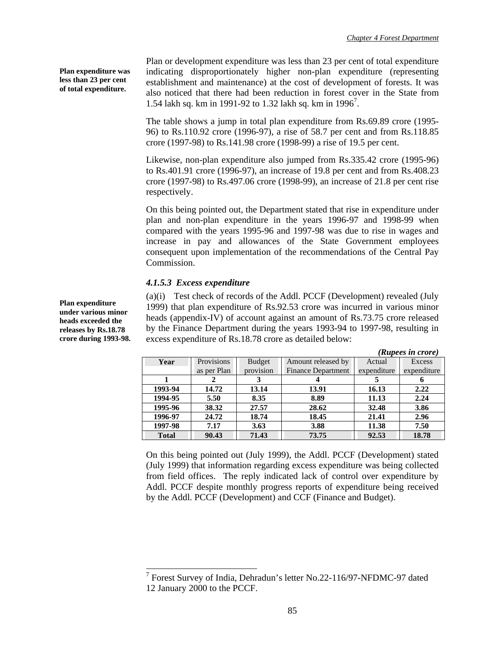**Plan expenditure was less than 23 per cent of total expenditure.** 

Plan or development expenditure was less than 23 per cent of total expenditure indicating disproportionately higher non-plan expenditure (representing establishment and maintenance) at the cost of development of forests. It was also noticed that there had been reduction in forest cover in the State from 1.54 lakh sq. km in 1991-92 to 1.32 lakh sq. km in 1996<sup>7</sup>.

The table shows a jump in total plan expenditure from Rs.69.89 crore (1995- 96) to Rs.110.92 crore (1996-97), a rise of 58.7 per cent and from Rs.118.85 crore (1997-98) to Rs.141.98 crore (1998-99) a rise of 19.5 per cent.

Likewise, non-plan expenditure also jumped from Rs.335.42 crore (1995-96) to Rs.401.91 crore (1996-97), an increase of 19.8 per cent and from Rs.408.23 crore (1997-98) to Rs.497.06 crore (1998-99), an increase of 21.8 per cent rise respectively.

On this being pointed out, the Department stated that rise in expenditure under plan and non-plan expenditure in the years 1996-97 and 1998-99 when compared with the years 1995-96 and 1997-98 was due to rise in wages and increase in pay and allowances of the State Government employees consequent upon implementation of the recommendations of the Central Pay Commission.

### *4.1.5.3 Excess expenditure*

(a)(i) Test check of records of the Addl. PCCF (Development) revealed (July 1999) that plan expenditure of Rs.92.53 crore was incurred in various minor heads (appendix-IV) of account against an amount of Rs.73.75 crore released by the Finance Department during the years 1993-94 to 1997-98, resulting in excess expenditure of Rs.18.78 crore as detailed below:

|              |             |               |                           |             | (Rupees in crore) |
|--------------|-------------|---------------|---------------------------|-------------|-------------------|
| Year         | Provisions  | <b>Budget</b> | Amount released by        | Actual      | Excess            |
|              | as per Plan | provision     | <b>Finance Department</b> | expenditure | expenditure       |
|              |             |               |                           |             |                   |
| 1993-94      | 14.72       | 13.14         | 13.91                     | 16.13       | 2.22              |
| 1994-95      | 5.50        | 8.35          | 8.89                      | 11.13       | 2.24              |
| 1995-96      | 38.32       | 27.57         | 28.62                     | 32.48       | 3.86              |
| 1996-97      | 24.72       | 18.74         | 18.45                     | 21.41       | 2.96              |
| 1997-98      | 7.17        | 3.63          | 3.88                      | 11.38       | 7.50              |
| <b>Total</b> | 90.43       | 71.43         | 73.75                     | 92.53       | 18.78             |

On this being pointed out (July 1999), the Addl. PCCF (Development) stated (July 1999) that information regarding excess expenditure was being collected from field offices. The reply indicated lack of control over expenditure by Addl. PCCF despite monthly progress reports of expenditure being received

by the Addl. PCCF (Development) and CCF (Finance and Budget).

**Plan expenditure under various minor heads exceeded the releases by Rs.18.78 crore during 1993-98.** 

<sup>&</sup>lt;sup>7</sup> Forest Survey of India, Dehradun's letter No.22-116/97-NFDMC-97 dated 12 January 2000 to the PCCF.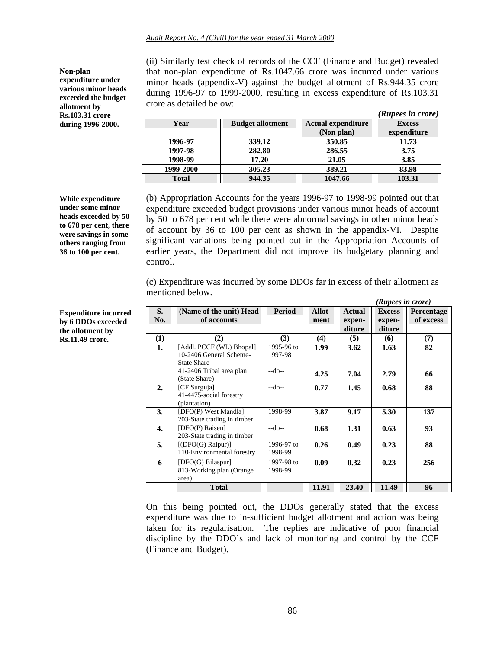**Non-plan expenditure under various minor heads exceeded the budget allotment by Rs.103.31 crore during 1996-2000.** 

(ii) Similarly test check of records of the CCF (Finance and Budget) revealed that non-plan expenditure of Rs.1047.66 crore was incurred under various minor heads (appendix-V) against the budget allotment of Rs.944.35 crore during 1996-97 to 1999-2000, resulting in excess expenditure of Rs.103.31 crore as detailed below: *(Rupees in crore)*

|              |                         |                           | (Kupees in crore) |
|--------------|-------------------------|---------------------------|-------------------|
| Year         | <b>Budget allotment</b> | <b>Actual expenditure</b> | <b>Excess</b>     |
|              |                         | (Non plan)                | expenditure       |
| 1996-97      | 339.12                  | 350.85                    | 11.73             |
| 1997-98      | 282.80                  | 286.55                    | 3.75              |
| 1998-99      | 17.20                   | 21.05                     | 3.85              |
| 1999-2000    | 305.23                  | 389.21                    | 83.98             |
| <b>Total</b> | 944.35                  | 1047.66                   | 103.31            |

(b) Appropriation Accounts for the years 1996-97 to 1998-99 pointed out that expenditure exceeded budget provisions under various minor heads of account by 50 to 678 per cent while there were abnormal savings in other minor heads of account by 36 to 100 per cent as shown in the appendix-VI. Despite significant variations being pointed out in the Appropriation Accounts of earlier years, the Department did not improve its budgetary planning and control.

(c) Expenditure was incurred by some DDOs far in excess of their allotment as mentioned below.

|     |                             |               | (Rupees in crore) |               |               |            |
|-----|-----------------------------|---------------|-------------------|---------------|---------------|------------|
| S.  | (Name of the unit) Head     | <b>Period</b> | Allot-            | <b>Actual</b> | <b>Excess</b> | Percentage |
| No. | of accounts                 |               | ment              | expen-        | expen-        | of excess  |
|     |                             |               |                   | diture        | diture        |            |
| (1) | (2)                         | (3)           | (4)               | (5)           | (6)           | (7)        |
| 1.  | [Addl. PCCF (WL) Bhopal]    | 1995-96 to    | 1.99              | 3.62          | 1.63          | 82         |
|     | 10-2406 General Scheme-     | 1997-98       |                   |               |               |            |
|     | <b>State Share</b>          |               |                   |               |               |            |
|     | 41-2406 Tribal area plan    | $-do-$        | 4.25              | 7.04          | 2.79          | 66         |
|     | (State Share)               |               |                   |               |               |            |
| 2.  | [CF Surguja]                | $-do-$        | 0.77              | 1.45          | 0.68          | 88         |
|     | 41-4475-social forestry     |               |                   |               |               |            |
|     | (plantation)                |               |                   |               |               |            |
| 3.  | [DFO(P) West Mandla]        | 1998-99       | 3.87              | 9.17          | 5.30          | 137        |
|     | 203-State trading in timber |               |                   |               |               |            |
| 4.  | [DFO(P) Raisen]             | $-do-$        | 0.68              | 1.31          | 0.63          | 93         |
|     | 203-State trading in timber |               |                   |               |               |            |
| 5.  | $[$ (DFO(G) Raipur)]        | 1996-97 to    | 0.26              | 0.49          | 0.23          | 88         |
|     | 110-Environmental forestry  | 1998-99       |                   |               |               |            |
| 6   | [DFO(G) Bilaspur]           | 1997-98 to    | 0.09              | 0.32          | 0.23          | 256        |
|     | 813-Working plan (Orange)   | 1998-99       |                   |               |               |            |
|     | area)                       |               |                   |               |               |            |
|     | <b>Total</b>                |               | 11.91             | 23.40         | 11.49         | 96         |

On this being pointed out, the DDOs generally stated that the excess expenditure was due to in-sufficient budget allotment and action was being taken for its regularisation. The replies are indicative of poor financial discipline by the DDO's and lack of monitoring and control by the CCF (Finance and Budget).

**While expenditure under some minor heads exceeded by 50 to 678 per cent, there were savings in some others ranging from 36 to 100 per cent.** 

**Expenditure incurred by 6 DDOs exceeded the allotment by Rs.11.49 crore.**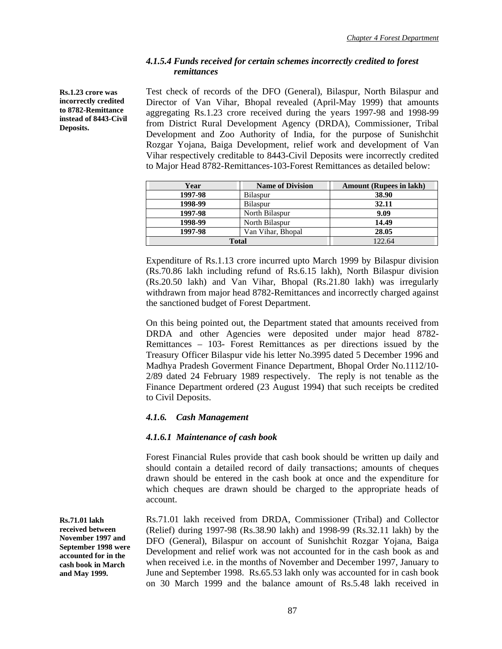### *4.1.5.4 Funds received for certain schemes incorrectly credited to forest remittances*

**Rs.1.23 crore was incorrectly credited to 8782-Remittance instead of 8443-Civil Deposits.** 

Test check of records of the DFO (General), Bilaspur, North Bilaspur and Director of Van Vihar, Bhopal revealed (April-May 1999) that amounts aggregating Rs.1.23 crore received during the years 1997-98 and 1998-99 from District Rural Development Agency (DRDA), Commissioner, Tribal Development and Zoo Authority of India, for the purpose of Sunishchit Rozgar Yojana, Baiga Development, relief work and development of Van Vihar respectively creditable to 8443-Civil Deposits were incorrectly credited to Major Head 8782-Remittances-103-Forest Remittances as detailed below:

| Year         | <b>Name of Division</b> | <b>Amount (Rupees in lakh)</b> |
|--------------|-------------------------|--------------------------------|
| 1997-98      | <b>Bilaspur</b>         | 38.90                          |
| 1998-99      | <b>Bilaspur</b>         | 32.11                          |
| 1997-98      | North Bilaspur          | 9.09                           |
| 1998-99      | North Bilaspur          | 14.49                          |
| 1997-98      | Van Vihar, Bhopal       | 28.05                          |
| <b>Total</b> |                         | 122.64                         |

Expenditure of Rs.1.13 crore incurred upto March 1999 by Bilaspur division (Rs.70.86 lakh including refund of Rs.6.15 lakh), North Bilaspur division (Rs.20.50 lakh) and Van Vihar, Bhopal (Rs.21.80 lakh) was irregularly withdrawn from major head 8782-Remittances and incorrectly charged against the sanctioned budget of Forest Department.

On this being pointed out, the Department stated that amounts received from DRDA and other Agencies were deposited under major head 8782- Remittances – 103- Forest Remittances as per directions issued by the Treasury Officer Bilaspur vide his letter No.3995 dated 5 December 1996 and Madhya Pradesh Goverment Finance Department, Bhopal Order No.1112/10- 2/89 dated 24 February 1989 respectively. The reply is not tenable as the Finance Department ordered (23 August 1994) that such receipts be credited to Civil Deposits.

### *4.1.6. Cash Management*

#### *4.1.6.1 Maintenance of cash book*

Forest Financial Rules provide that cash book should be written up daily and should contain a detailed record of daily transactions; amounts of cheques drawn should be entered in the cash book at once and the expenditure for which cheques are drawn should be charged to the appropriate heads of account.

Rs.71.01 lakh received from DRDA, Commissioner (Tribal) and Collector (Relief) during 1997-98 (Rs.38.90 lakh) and 1998-99 (Rs.32.11 lakh) by the DFO (General), Bilaspur on account of Sunishchit Rozgar Yojana, Baiga Development and relief work was not accounted for in the cash book as and when received i.e. in the months of November and December 1997, January to June and September 1998. Rs.65.53 lakh only was accounted for in cash book on 30 March 1999 and the balance amount of Rs.5.48 lakh received in

**Rs.71.01 lakh received between November 1997 and September 1998 were accounted for in the cash book in March and May 1999.**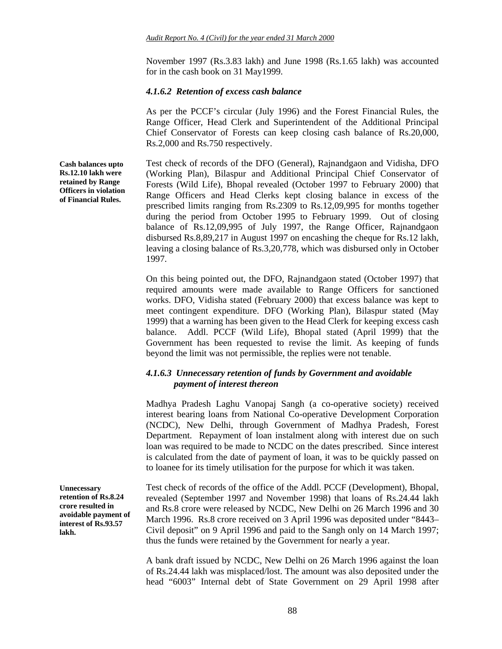November 1997 (Rs.3.83 lakh) and June 1998 (Rs.1.65 lakh) was accounted for in the cash book on 31 May1999.

#### *4.1.6.2 Retention of excess cash balance*

As per the PCCF's circular (July 1996) and the Forest Financial Rules, the Range Officer, Head Clerk and Superintendent of the Additional Principal Chief Conservator of Forests can keep closing cash balance of Rs.20,000, Rs.2,000 and Rs.750 respectively.

Test check of records of the DFO (General), Rajnandgaon and Vidisha, DFO (Working Plan), Bilaspur and Additional Principal Chief Conservator of Forests (Wild Life), Bhopal revealed (October 1997 to February 2000) that Range Officers and Head Clerks kept closing balance in excess of the prescribed limits ranging from Rs.2309 to Rs.12,09,995 for months together during the period from October 1995 to February 1999. Out of closing balance of Rs.12,09,995 of July 1997, the Range Officer, Rajnandgaon disbursed Rs.8,89,217 in August 1997 on encashing the cheque for Rs.12 lakh, leaving a closing balance of Rs.3,20,778, which was disbursed only in October 1997.

On this being pointed out, the DFO, Rajnandgaon stated (October 1997) that required amounts were made available to Range Officers for sanctioned works. DFO, Vidisha stated (February 2000) that excess balance was kept to meet contingent expenditure. DFO (Working Plan), Bilaspur stated (May 1999) that a warning has been given to the Head Clerk for keeping excess cash balance. Addl. PCCF (Wild Life), Bhopal stated (April 1999) that the Government has been requested to revise the limit. As keeping of funds beyond the limit was not permissible, the replies were not tenable.

### *4.1.6.3 Unnecessary retention of funds by Government and avoidable payment of interest thereon*

Madhya Pradesh Laghu Vanopaj Sangh (a co-operative society) received interest bearing loans from National Co-operative Development Corporation (NCDC), New Delhi, through Government of Madhya Pradesh, Forest Department. Repayment of loan instalment along with interest due on such loan was required to be made to NCDC on the dates prescribed. Since interest is calculated from the date of payment of loan, it was to be quickly passed on to loanee for its timely utilisation for the purpose for which it was taken.

Test check of records of the office of the Addl. PCCF (Development), Bhopal, revealed (September 1997 and November 1998) that loans of Rs.24.44 lakh and Rs.8 crore were released by NCDC, New Delhi on 26 March 1996 and 30 March 1996. Rs.8 crore received on 3 April 1996 was deposited under "8443– Civil deposit" on 9 April 1996 and paid to the Sangh only on 14 March 1997; thus the funds were retained by the Government for nearly a year.

A bank draft issued by NCDC, New Delhi on 26 March 1996 against the loan of Rs.24.44 lakh was misplaced/lost. The amount was also deposited under the head "6003" Internal debt of State Government on 29 April 1998 after

**Cash balances upto Rs.12.10 lakh were retained by Range Officers in violation of Financial Rules.** 

**Unnecessary retention of Rs.8.24 crore resulted in avoidable payment of interest of Rs.93.57 lakh.**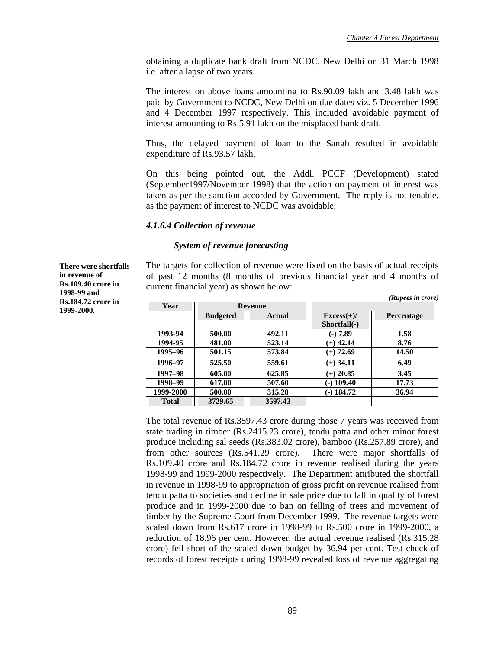obtaining a duplicate bank draft from NCDC, New Delhi on 31 March 1998 i.e. after a lapse of two years.

The interest on above loans amounting to Rs.90.09 lakh and 3.48 lakh was paid by Government to NCDC, New Delhi on due dates viz. 5 December 1996 and 4 December 1997 respectively. This included avoidable payment of interest amounting to Rs.5.91 lakh on the misplaced bank draft.

Thus, the delayed payment of loan to the Sangh resulted in avoidable expenditure of Rs.93.57 lakh.

On this being pointed out, the Addl. PCCF (Development) stated (September1997/November 1998) that the action on payment of interest was taken as per the sanction accorded by Government. The reply is not tenable, as the payment of interest to NCDC was avoidable.

#### *4.1.6.4 Collection of revenue*

#### *System of revenue forecasting*

The targets for collection of revenue were fixed on the basis of actual receipts of past 12 months (8 months of previous financial year and 4 months of current financial year) as shown below:

|              |                 |                |              | (Rupees in crore) |
|--------------|-----------------|----------------|--------------|-------------------|
| Year         |                 | <b>Revenue</b> |              |                   |
|              | <b>Budgeted</b> | Actual         | $Excess(+)/$ | <b>Percentage</b> |
|              |                 |                | Shortfall(-) |                   |
| 1993-94      | 500.00          | 492.11         | (-) 7.89     | 1.58              |
| 1994-95      | 481.00          | 523.14         | $(+)$ 42.14  | 8.76              |
| 1995–96      | 501.15          | 573.84         | $(+)$ 72.69  | 14.50             |
| 1996–97      | 525.50          | 559.61         | $(+)$ 34.11  | 6.49              |
| 1997–98      | 605.00          | 625.85         | $(+)$ 20.85  | 3.45              |
| 1998-99      | 617.00          | 507.60         | $(-)$ 109.40 | 17.73             |
| 1999-2000    | 500.00          | 315.28         | $(-)$ 184.72 | 36.94             |
| <b>Total</b> | 3729.65         | 3597.43        |              |                   |

The total revenue of Rs.3597.43 crore during those 7 years was received from state trading in timber (Rs.2415.23 crore), tendu patta and other minor forest produce including sal seeds (Rs.383.02 crore), bamboo (Rs.257.89 crore), and from other sources (Rs.541.29 crore). There were major shortfalls of Rs.109.40 crore and Rs.184.72 crore in revenue realised during the years 1998-99 and 1999-2000 respectively. The Department attributed the shortfall in revenue in 1998-99 to appropriation of gross profit on revenue realised from tendu patta to societies and decline in sale price due to fall in quality of forest produce and in 1999-2000 due to ban on felling of trees and movement of timber by the Supreme Court from December 1999. The revenue targets were scaled down from Rs.617 crore in 1998-99 to Rs.500 crore in 1999-2000, a reduction of 18.96 per cent. However, the actual revenue realised (Rs.315.28 crore) fell short of the scaled down budget by 36.94 per cent. Test check of records of forest receipts during 1998-99 revealed loss of revenue aggregating

**There were shortfalls in revenue of Rs.109.40 crore in 1998-99 and Rs.184.72 crore in 1999-2000.**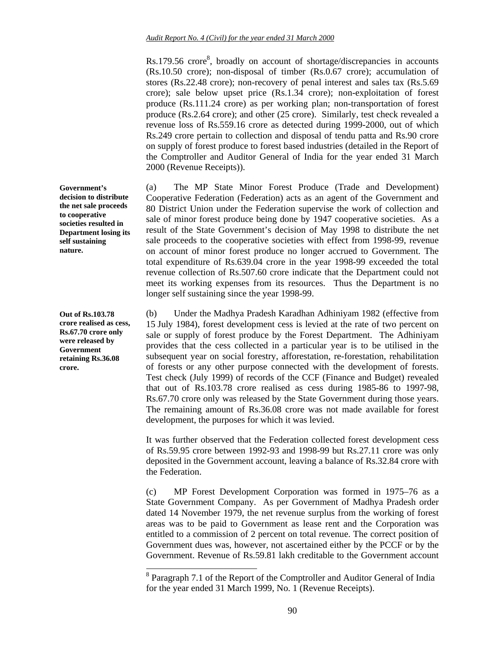Rs.179.56 crore<sup>8</sup>, broadly on account of shortage/discrepancies in accounts (Rs.10.50 crore); non-disposal of timber (Rs.0.67 crore); accumulation of stores (Rs.22.48 crore); non-recovery of penal interest and sales tax (Rs.5.69 crore); sale below upset price (Rs.1.34 crore); non-exploitation of forest produce (Rs.111.24 crore) as per working plan; non-transportation of forest produce (Rs.2.64 crore); and other (25 crore). Similarly, test check revealed a revenue loss of Rs.559.16 crore as detected during 1999-2000, out of which Rs.249 crore pertain to collection and disposal of tendu patta and Rs.90 crore on supply of forest produce to forest based industries (detailed in the Report of the Comptroller and Auditor General of India for the year ended 31 March 2000 (Revenue Receipts)).

(a) The MP State Minor Forest Produce (Trade and Development) Cooperative Federation (Federation) acts as an agent of the Government and 80 District Union under the Federation supervise the work of collection and sale of minor forest produce being done by 1947 cooperative societies. As a result of the State Government's decision of May 1998 to distribute the net sale proceeds to the cooperative societies with effect from 1998-99, revenue on account of minor forest produce no longer accrued to Government. The total expenditure of Rs.639.04 crore in the year 1998-99 exceeded the total revenue collection of Rs.507.60 crore indicate that the Department could not meet its working expenses from its resources. Thus the Department is no longer self sustaining since the year 1998-99.

(b) Under the Madhya Pradesh Karadhan Adhiniyam 1982 (effective from 15 July 1984), forest development cess is levied at the rate of two percent on sale or supply of forest produce by the Forest Department. The Adhiniyam provides that the cess collected in a particular year is to be utilised in the subsequent year on social forestry, afforestation, re-forestation, rehabilitation of forests or any other purpose connected with the development of forests. Test check (July 1999) of records of the CCF (Finance and Budget) revealed that out of Rs.103.78 crore realised as cess during 1985-86 to 1997-98, Rs.67.70 crore only was released by the State Government during those years. The remaining amount of Rs.36.08 crore was not made available for forest development, the purposes for which it was levied.

It was further observed that the Federation collected forest development cess of Rs.59.95 crore between 1992-93 and 1998-99 but Rs.27.11 crore was only deposited in the Government account, leaving a balance of Rs.32.84 crore with the Federation.

(c) MP Forest Development Corporation was formed in 1975–76 as a State Government Company. As per Government of Madhya Pradesh order dated 14 November 1979, the net revenue surplus from the working of forest areas was to be paid to Government as lease rent and the Corporation was entitled to a commission of 2 percent on total revenue. The correct position of Government dues was, however, not ascertained either by the PCCF or by the Government. Revenue of Rs.59.81 lakh creditable to the Government account

**Government's decision to distribute the net sale proceeds to cooperative societies resulted in Department losing its self sustaining nature.** 

**Out of Rs.103.78 crore realised as cess, Rs.67.70 crore only were released by Government retaining Rs.36.08 crore.** 

<sup>&</sup>lt;sup>8</sup> Paragraph 7.1 of the Report of the Comptroller and Auditor General of India for the year ended 31 March 1999, No. 1 (Revenue Receipts).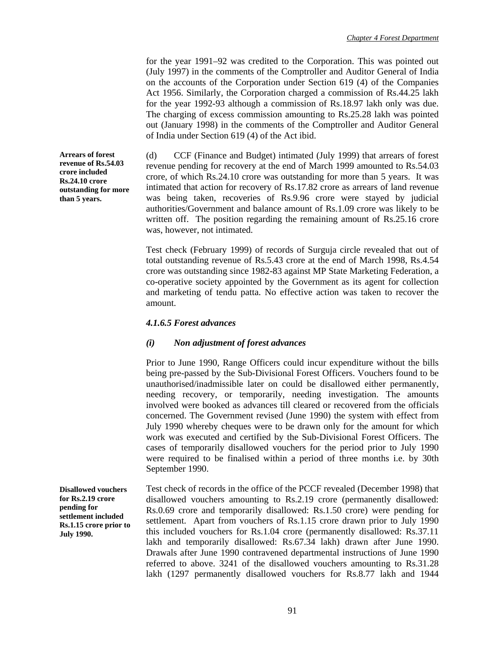for the year 1991–92 was credited to the Corporation. This was pointed out (July 1997) in the comments of the Comptroller and Auditor General of India on the accounts of the Corporation under Section 619 (4) of the Companies Act 1956. Similarly, the Corporation charged a commission of Rs.44.25 lakh for the year 1992-93 although a commission of Rs.18.97 lakh only was due. The charging of excess commission amounting to Rs.25.28 lakh was pointed out (January 1998) in the comments of the Comptroller and Auditor General of India under Section 619 (4) of the Act ibid.

**Arrears of forest revenue of Rs.54.03 crore included Rs.24.10 crore outstanding for more than 5 years.** 

(d) CCF (Finance and Budget) intimated (July 1999) that arrears of forest revenue pending for recovery at the end of March 1999 amounted to Rs.54.03 crore, of which Rs.24.10 crore was outstanding for more than 5 years. It was intimated that action for recovery of Rs.17.82 crore as arrears of land revenue was being taken, recoveries of Rs.9.96 crore were stayed by judicial authorities/Government and balance amount of Rs.1.09 crore was likely to be written off. The position regarding the remaining amount of Rs.25.16 crore was, however, not intimated.

Test check (February 1999) of records of Surguja circle revealed that out of total outstanding revenue of Rs.5.43 crore at the end of March 1998, Rs.4.54 crore was outstanding since 1982-83 against MP State Marketing Federation, a co-operative society appointed by the Government as its agent for collection and marketing of tendu patta. No effective action was taken to recover the amount.

# *4.1.6.5 Forest advances*

# *(i) Non adjustment of forest advances*

Prior to June 1990, Range Officers could incur expenditure without the bills being pre-passed by the Sub-Divisional Forest Officers. Vouchers found to be unauthorised/inadmissible later on could be disallowed either permanently, needing recovery, or temporarily, needing investigation. The amounts involved were booked as advances till cleared or recovered from the officials concerned. The Government revised (June 1990) the system with effect from July 1990 whereby cheques were to be drawn only for the amount for which work was executed and certified by the Sub-Divisional Forest Officers. The cases of temporarily disallowed vouchers for the period prior to July 1990 were required to be finalised within a period of three months i.e. by 30th September 1990.

Test check of records in the office of the PCCF revealed (December 1998) that disallowed vouchers amounting to Rs.2.19 crore (permanently disallowed: Rs.0.69 crore and temporarily disallowed: Rs.1.50 crore) were pending for settlement. Apart from vouchers of Rs.1.15 crore drawn prior to July 1990 this included vouchers for Rs.1.04 crore (permanently disallowed: Rs.37.11 lakh and temporarily disallowed: Rs.67.34 lakh) drawn after June 1990. Drawals after June 1990 contravened departmental instructions of June 1990 referred to above. 3241 of the disallowed vouchers amounting to Rs.31.28 lakh (1297 permanently disallowed vouchers for Rs.8.77 lakh and 1944

**Disallowed vouchers for Rs.2.19 crore pending for settlement included Rs.1.15 crore prior to July 1990.**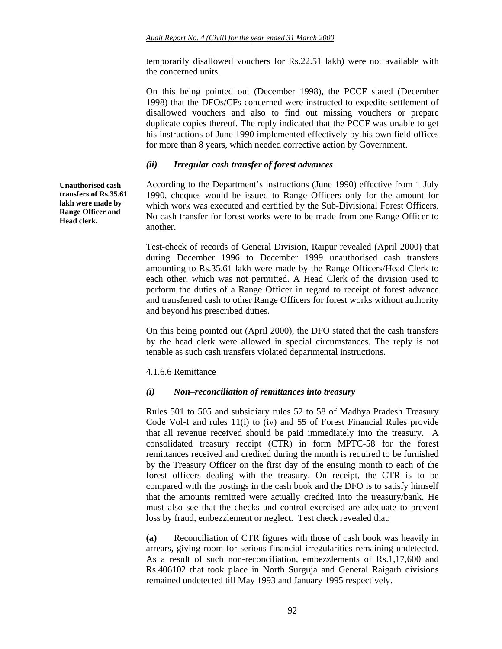temporarily disallowed vouchers for Rs.22.51 lakh) were not available with the concerned units.

On this being pointed out (December 1998), the PCCF stated (December 1998) that the DFOs/CFs concerned were instructed to expedite settlement of disallowed vouchers and also to find out missing vouchers or prepare duplicate copies thereof. The reply indicated that the PCCF was unable to get his instructions of June 1990 implemented effectively by his own field offices for more than 8 years, which needed corrective action by Government.

#### *(ii) Irregular cash transfer of forest advances*

According to the Department's instructions (June 1990) effective from 1 July 1990, cheques would be issued to Range Officers only for the amount for which work was executed and certified by the Sub-Divisional Forest Officers. No cash transfer for forest works were to be made from one Range Officer to another.

Test-check of records of General Division, Raipur revealed (April 2000) that during December 1996 to December 1999 unauthorised cash transfers amounting to Rs.35.61 lakh were made by the Range Officers/Head Clerk to each other, which was not permitted. A Head Clerk of the division used to perform the duties of a Range Officer in regard to receipt of forest advance and transferred cash to other Range Officers for forest works without authority and beyond his prescribed duties.

On this being pointed out (April 2000), the DFO stated that the cash transfers by the head clerk were allowed in special circumstances. The reply is not tenable as such cash transfers violated departmental instructions.

#### 4.1.6.6 Remittance

#### *(i) Non–reconciliation of remittances into treasury*

Rules 501 to 505 and subsidiary rules 52 to 58 of Madhya Pradesh Treasury Code Vol-I and rules 11(i) to (iv) and 55 of Forest Financial Rules provide that all revenue received should be paid immediately into the treasury. A consolidated treasury receipt (CTR) in form MPTC-58 for the forest remittances received and credited during the month is required to be furnished by the Treasury Officer on the first day of the ensuing month to each of the forest officers dealing with the treasury. On receipt, the CTR is to be compared with the postings in the cash book and the DFO is to satisfy himself that the amounts remitted were actually credited into the treasury/bank. He must also see that the checks and control exercised are adequate to prevent loss by fraud, embezzlement or neglect. Test check revealed that:

**(a)** Reconciliation of CTR figures with those of cash book was heavily in arrears, giving room for serious financial irregularities remaining undetected. As a result of such non-reconciliation, embezzlements of Rs.1,17,600 and Rs.406102 that took place in North Surguja and General Raigarh divisions remained undetected till May 1993 and January 1995 respectively.

**Unauthorised cash transfers of Rs.35.61 lakh were made by Range Officer and Head clerk.**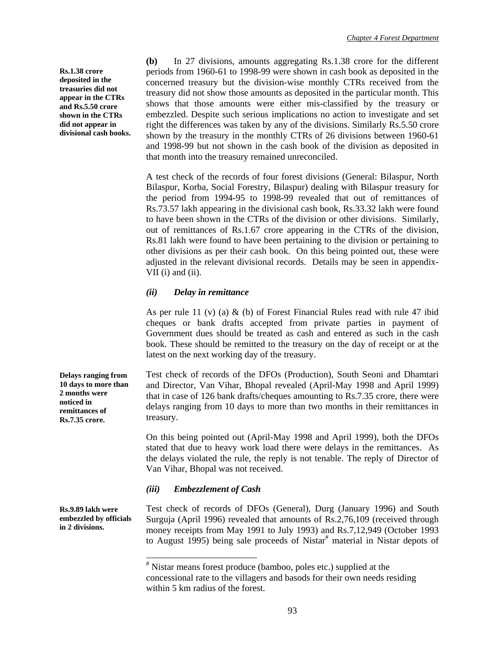**(b)** In 27 divisions, amounts aggregating Rs.1.38 crore for the different periods from 1960-61 to 1998-99 were shown in cash book as deposited in the concerned treasury but the division-wise monthly CTRs received from the treasury did not show those amounts as deposited in the particular month. This shows that those amounts were either mis-classified by the treasury or embezzled. Despite such serious implications no action to investigate and set right the differences was taken by any of the divisions. Similarly Rs.5.50 crore shown by the treasury in the monthly CTRs of 26 divisions between 1960-61 and 1998-99 but not shown in the cash book of the division as deposited in that month into the treasury remained unreconciled.

A test check of the records of four forest divisions (General: Bilaspur, North Bilaspur, Korba, Social Forestry, Bilaspur) dealing with Bilaspur treasury for the period from 1994-95 to 1998-99 revealed that out of remittances of Rs.73.57 lakh appearing in the divisional cash book, Rs.33.32 lakh were found to have been shown in the CTRs of the division or other divisions. Similarly, out of remittances of Rs.1.67 crore appearing in the CTRs of the division, Rs.81 lakh were found to have been pertaining to the division or pertaining to other divisions as per their cash book. On this being pointed out, these were adjusted in the relevant divisional records. Details may be seen in appendix-VII  $(i)$  and  $(ii)$ .

# *(ii) Delay in remittance*

As per rule 11 (v) (a) & (b) of Forest Financial Rules read with rule 47 ibid cheques or bank drafts accepted from private parties in payment of Government dues should be treated as cash and entered as such in the cash book. These should be remitted to the treasury on the day of receipt or at the latest on the next working day of the treasury.

Test check of records of the DFOs (Production), South Seoni and Dhamtari and Director, Van Vihar, Bhopal revealed (April-May 1998 and April 1999) that in case of 126 bank drafts/cheques amounting to Rs.7.35 crore, there were delays ranging from 10 days to more than two months in their remittances in treasury.

On this being pointed out (April-May 1998 and April 1999), both the DFOs stated that due to heavy work load there were delays in the remittances. As the delays violated the rule, the reply is not tenable. The reply of Director of Van Vihar, Bhopal was not received.

### *(iii) Embezzlement of Cash*

Test check of records of DFOs (General), Durg (January 1996) and South Surguja (April 1996) revealed that amounts of Rs.2,76,109 (received through money receipts from May 1991 to July 1993) and Rs.7,12,949 (October 1993 to August 1995) being sale proceeds of Nistar $#$  material in Nistar depots of

**Delays ranging from 10 days to more than 2 months were noticed in remittances of Rs.7.35 crore.** 

**Rs.1.38 crore deposited in the treasuries did not appear in the CTRs and Rs.5.50 crore shown in the CTRs did not appear in divisional cash books.** 

**Rs.9.89 lakh were embezzled by officials in 2 divisions.** 

<sup>#</sup> Nistar means forest produce (bamboo, poles etc.) supplied at the concessional rate to the villagers and basods for their own needs residing within 5 km radius of the forest.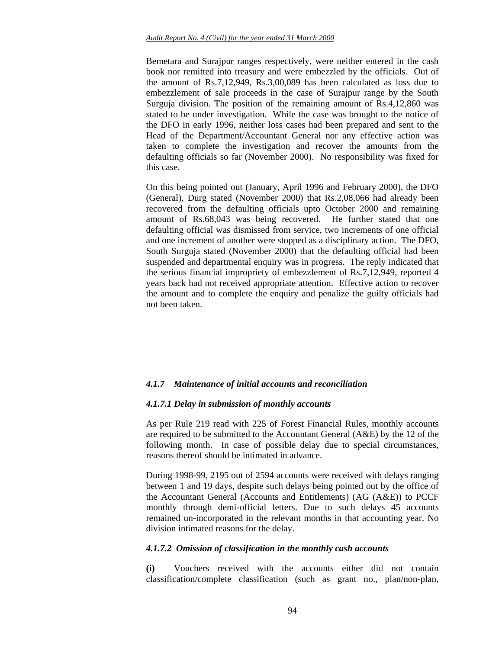Bemetara and Surajpur ranges respectively, were neither entered in the cash book nor remitted into treasury and were embezzled by the officials. Out of the amount of Rs.7,12,949, Rs.3,00,089 has been calculated as loss due to embezzlement of sale proceeds in the case of Surajpur range by the South Surguja division. The position of the remaining amount of Rs.4,12,860 was stated to be under investigation. While the case was brought to the notice of the DFO in early 1996, neither loss cases had been prepared and sent to the Head of the Department/Accountant General nor any effective action was taken to complete the investigation and recover the amounts from the defaulting officials so far (November 2000). No responsibility was fixed for this case.

On this being pointed out (January, April 1996 and February 2000), the DFO (General), Durg stated (November 2000) that Rs.2,08,066 had already been recovered from the defaulting officials upto October 2000 and remaining amount of Rs.68,043 was being recovered. He further stated that one defaulting official was dismissed from service, two increments of one official and one increment of another were stopped as a disciplinary action. The DFO, South Surguja stated (November 2000) that the defaulting official had been suspended and departmental enquiry was in progress. The reply indicated that the serious financial impropriety of embezzlement of Rs.7,12,949, reported 4 years back had not received appropriate attention. Effective action to recover the amount and to complete the enquiry and penalize the guilty officials had not been taken.

#### *4.1.7 Maintenance of initial accounts and reconciliation*

#### *4.1.7.1 Delay in submission of monthly accounts*

As per Rule 219 read with 225 of Forest Financial Rules, monthly accounts are required to be submitted to the Accountant General (A&E) by the 12 of the following month. In case of possible delay due to special circumstances, reasons thereof should be intimated in advance.

During 1998-99, 2195 out of 2594 accounts were received with delays ranging between 1 and 19 days, despite such delays being pointed out by the office of the Accountant General (Accounts and Entitlements) (AG (A&E)) to PCCF monthly through demi-official letters. Due to such delays 45 accounts remained un-incorporated in the relevant months in that accounting year. No division intimated reasons for the delay.

#### *4.1.7.2 Omission of classification in the monthly cash accounts*

**(i)** Vouchers received with the accounts either did not contain classification/complete classification (such as grant no., plan/non-plan,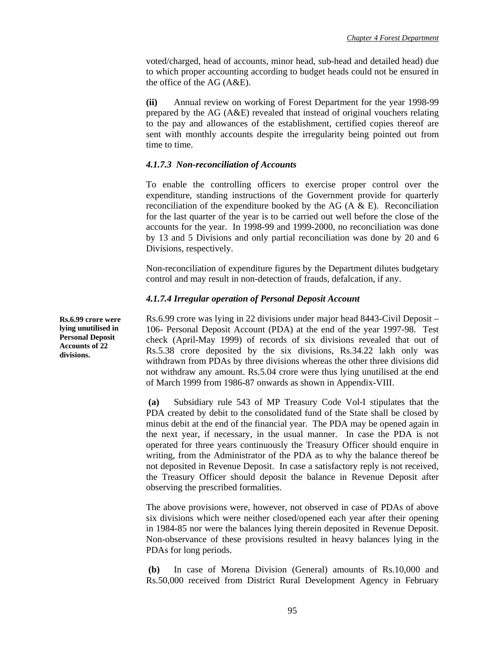voted/charged, head of accounts, minor head, sub-head and detailed head) due to which proper accounting according to budget heads could not be ensured in the office of the AG (A&E).

**(ii)** Annual review on working of Forest Department for the year 1998-99 prepared by the AG (A&E) revealed that instead of original vouchers relating to the pay and allowances of the establishment, certified copies thereof are sent with monthly accounts despite the irregularity being pointed out from time to time.

# *4.1.7.3 Non-reconciliation of Accounts*

To enable the controlling officers to exercise proper control over the expenditure, standing instructions of the Government provide for quarterly reconciliation of the expenditure booked by the AG (A & E). Reconciliation for the last quarter of the year is to be carried out well before the close of the accounts for the year. In 1998-99 and 1999-2000, no reconciliation was done by 13 and 5 Divisions and only partial reconciliation was done by 20 and 6 Divisions, respectively.

Non-reconciliation of expenditure figures by the Department dilutes budgetary control and may result in non-detection of frauds, defalcation, if any.

# *4.1.7.4 Irregular operation of Personal Deposit Account*

Rs.6.99 crore was lying in 22 divisions under major head 8443-Civil Deposit – 106- Personal Deposit Account (PDA) at the end of the year 1997-98. Test check (April-May 1999) of records of six divisions revealed that out of Rs.5.38 crore deposited by the six divisions, Rs.34.22 lakh only was withdrawn from PDAs by three divisions whereas the other three divisions did not withdraw any amount. Rs.5.04 crore were thus lying unutilised at the end of March 1999 from 1986-87 onwards as shown in Appendix-VIII.

 **(a)** Subsidiary rule 543 of MP Treasury Code Vol-I stipulates that the PDA created by debit to the consolidated fund of the State shall be closed by minus debit at the end of the financial year. The PDA may be opened again in the next year, if necessary, in the usual manner. In case the PDA is not operated for three years continuously the Treasury Officer should enquire in writing, from the Administrator of the PDA as to why the balance thereof be not deposited in Revenue Deposit. In case a satisfactory reply is not received, the Treasury Officer should deposit the balance in Revenue Deposit after observing the prescribed formalities.

The above provisions were, however, not observed in case of PDAs of above six divisions which were neither closed/opened each year after their opening in 1984-85 nor were the balances lying therein deposited in Revenue Deposit. Non-observance of these provisions resulted in heavy balances lying in the PDAs for long periods.

**(b)** In case of Morena Division (General) amounts of Rs.10,000 and Rs.50,000 received from District Rural Development Agency in February

**Rs.6.99 crore were lying unutilised in Personal Deposit Accounts of 22 divisions.**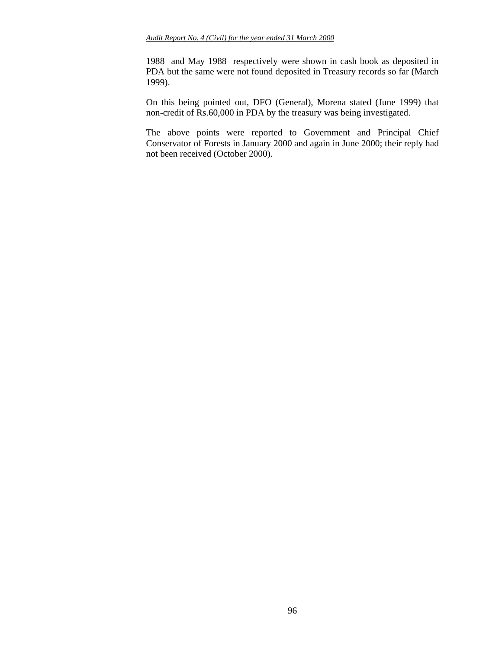1988 and May 1988 respectively were shown in cash book as deposited in PDA but the same were not found deposited in Treasury records so far (March 1999).

On this being pointed out, DFO (General), Morena stated (June 1999) that non-credit of Rs.60,000 in PDA by the treasury was being investigated.

The above points were reported to Government and Principal Chief Conservator of Forests in January 2000 and again in June 2000; their reply had not been received (October 2000).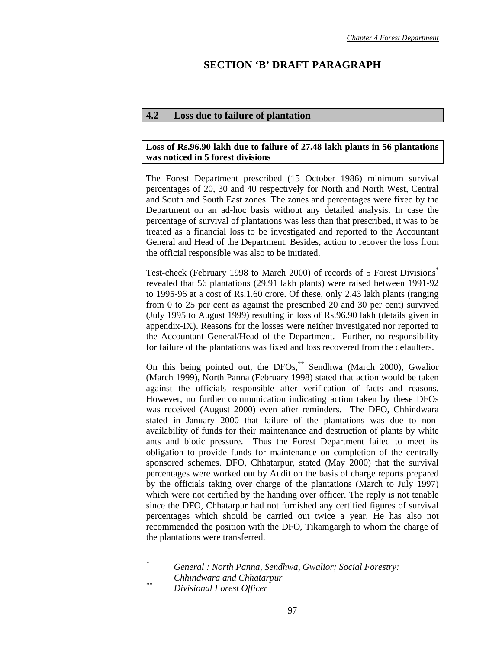# **SECTION 'B' DRAFT PARAGRAPH**

### **4.2 Loss due to failure of plantation**

# **Loss of Rs.96.90 lakh due to failure of 27.48 lakh plants in 56 plantations was noticed in 5 forest divisions**

The Forest Department prescribed (15 October 1986) minimum survival percentages of 20, 30 and 40 respectively for North and North West, Central and South and South East zones. The zones and percentages were fixed by the Department on an ad-hoc basis without any detailed analysis. In case the percentage of survival of plantations was less than that prescribed, it was to be treated as a financial loss to be investigated and reported to the Accountant General and Head of the Department. Besides, action to recover the loss from the official responsible was also to be initiated.

Test-check (February 1998 to March 2000) of records of 5 Forest Divisions\* revealed that 56 plantations (29.91 lakh plants) were raised between 1991-92 to 1995-96 at a cost of Rs.1.60 crore. Of these, only 2.43 lakh plants (ranging from 0 to 25 per cent as against the prescribed 20 and 30 per cent) survived (July 1995 to August 1999) resulting in loss of Rs.96.90 lakh (details given in appendix-IX). Reasons for the losses were neither investigated nor reported to the Accountant General/Head of the Department. Further, no responsibility for failure of the plantations was fixed and loss recovered from the defaulters.

On this being pointed out, the DFOs,\*\* Sendhwa (March 2000), Gwalior (March 1999), North Panna (February 1998) stated that action would be taken against the officials responsible after verification of facts and reasons. However, no further communication indicating action taken by these DFOs was received (August 2000) even after reminders. The DFO, Chhindwara stated in January 2000 that failure of the plantations was due to nonavailability of funds for their maintenance and destruction of plants by white ants and biotic pressure. Thus the Forest Department failed to meet its obligation to provide funds for maintenance on completion of the centrally sponsored schemes. DFO, Chhatarpur, stated (May 2000) that the survival percentages were worked out by Audit on the basis of charge reports prepared by the officials taking over charge of the plantations (March to July 1997) which were not certified by the handing over officer. The reply is not tenable since the DFO, Chhatarpur had not furnished any certified figures of survival percentages which should be carried out twice a year. He has also not recommended the position with the DFO, Tikamgargh to whom the charge of the plantations were transferred.

*<sup>\*</sup> General : North Panna, Sendhwa, Gwalior; Social Forestry: Chhindwara and Chhatarpur \*\* Divisional Forest Officer*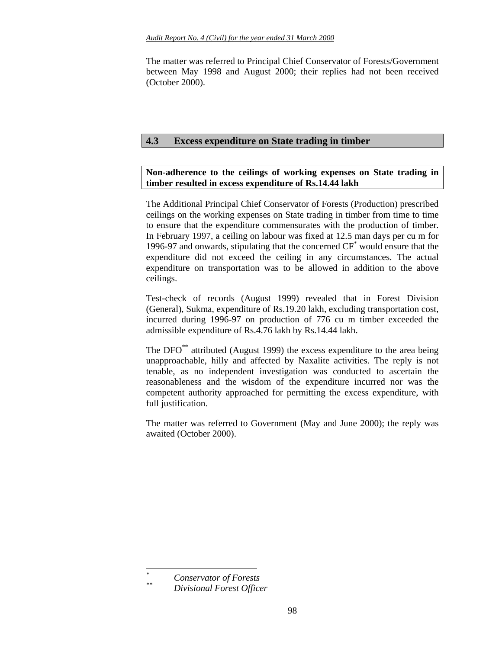The matter was referred to Principal Chief Conservator of Forests/Government between May 1998 and August 2000; their replies had not been received (October 2000).

# **4.3 Excess expenditure on State trading in timber**

**Non-adherence to the ceilings of working expenses on State trading in timber resulted in excess expenditure of Rs.14.44 lakh** 

The Additional Principal Chief Conservator of Forests (Production) prescribed ceilings on the working expenses on State trading in timber from time to time to ensure that the expenditure commensurates with the production of timber. In February 1997, a ceiling on labour was fixed at 12.5 man days per cu m for 1996-97 and onwards, stipulating that the concerned CF<sup>\*</sup> would ensure that the expenditure did not exceed the ceiling in any circumstances. The actual expenditure on transportation was to be allowed in addition to the above ceilings.

Test-check of records (August 1999) revealed that in Forest Division (General), Sukma, expenditure of Rs.19.20 lakh, excluding transportation cost, incurred during 1996-97 on production of 776 cu m timber exceeded the admissible expenditure of Rs.4.76 lakh by Rs.14.44 lakh.

The DFO\*\* attributed (August 1999) the excess expenditure to the area being unapproachable, hilly and affected by Naxalite activities. The reply is not tenable, as no independent investigation was conducted to ascertain the reasonableness and the wisdom of the expenditure incurred nor was the competent authority approached for permitting the excess expenditure, with full justification.

The matter was referred to Government (May and June 2000); the reply was awaited (October 2000).

*<sup>\*</sup> Conservator of Forests* 

*<sup>\*\*</sup> Divisional Forest Officer*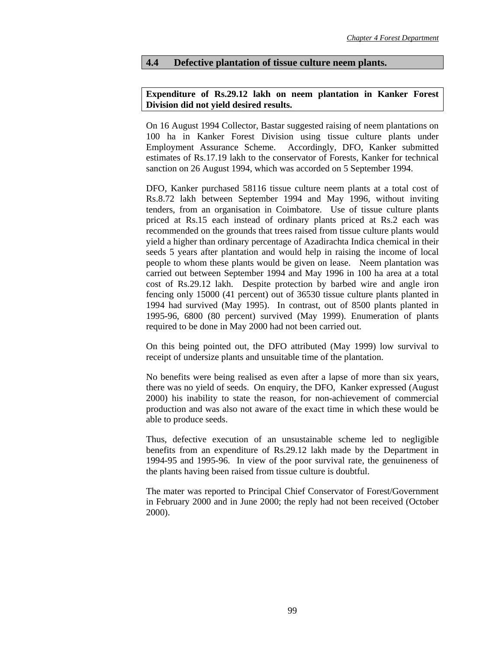### **4.4 Defective plantation of tissue culture neem plants.**

### **Expenditure of Rs.29.12 lakh on neem plantation in Kanker Forest Division did not yield desired results.**

On 16 August 1994 Collector, Bastar suggested raising of neem plantations on 100 ha in Kanker Forest Division using tissue culture plants under Employment Assurance Scheme. Accordingly, DFO, Kanker submitted estimates of Rs.17.19 lakh to the conservator of Forests, Kanker for technical sanction on 26 August 1994, which was accorded on 5 September 1994.

DFO, Kanker purchased 58116 tissue culture neem plants at a total cost of Rs.8.72 lakh between September 1994 and May 1996, without inviting tenders, from an organisation in Coimbatore. Use of tissue culture plants priced at Rs.15 each instead of ordinary plants priced at Rs.2 each was recommended on the grounds that trees raised from tissue culture plants would yield a higher than ordinary percentage of Azadirachta Indica chemical in their seeds 5 years after plantation and would help in raising the income of local people to whom these plants would be given on lease. Neem plantation was carried out between September 1994 and May 1996 in 100 ha area at a total cost of Rs.29.12 lakh. Despite protection by barbed wire and angle iron fencing only 15000 (41 percent) out of 36530 tissue culture plants planted in 1994 had survived (May 1995). In contrast, out of 8500 plants planted in 1995-96, 6800 (80 percent) survived (May 1999). Enumeration of plants required to be done in May 2000 had not been carried out.

On this being pointed out, the DFO attributed (May 1999) low survival to receipt of undersize plants and unsuitable time of the plantation.

No benefits were being realised as even after a lapse of more than six years, there was no yield of seeds. On enquiry, the DFO, Kanker expressed (August 2000) his inability to state the reason, for non-achievement of commercial production and was also not aware of the exact time in which these would be able to produce seeds.

Thus, defective execution of an unsustainable scheme led to negligible benefits from an expenditure of Rs.29.12 lakh made by the Department in 1994-95 and 1995-96. In view of the poor survival rate, the genuineness of the plants having been raised from tissue culture is doubtful.

The mater was reported to Principal Chief Conservator of Forest/Government in February 2000 and in June 2000; the reply had not been received (October 2000).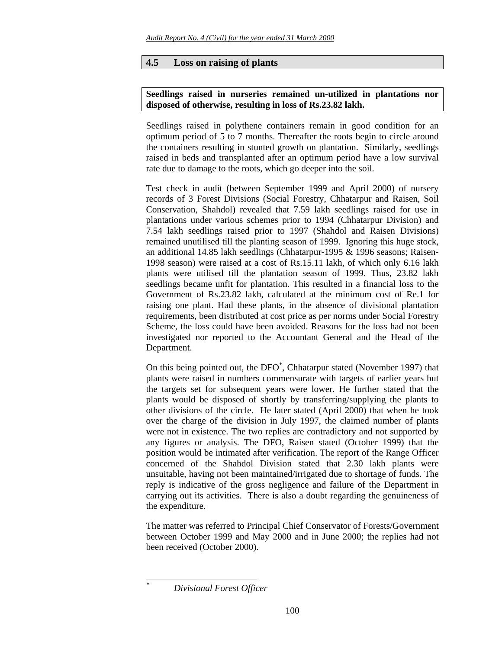# **4.5 Loss on raising of plants**

# **Seedlings raised in nurseries remained un-utilized in plantations nor disposed of otherwise, resulting in loss of Rs.23.82 lakh.**

Seedlings raised in polythene containers remain in good condition for an optimum period of 5 to 7 months. Thereafter the roots begin to circle around the containers resulting in stunted growth on plantation. Similarly, seedlings raised in beds and transplanted after an optimum period have a low survival rate due to damage to the roots, which go deeper into the soil.

Test check in audit (between September 1999 and April 2000) of nursery records of 3 Forest Divisions (Social Forestry, Chhatarpur and Raisen, Soil Conservation, Shahdol) revealed that 7.59 lakh seedlings raised for use in plantations under various schemes prior to 1994 (Chhatarpur Division) and 7.54 lakh seedlings raised prior to 1997 (Shahdol and Raisen Divisions) remained unutilised till the planting season of 1999. Ignoring this huge stock, an additional 14.85 lakh seedlings (Chhatarpur-1995 & 1996 seasons; Raisen-1998 season) were raised at a cost of Rs.15.11 lakh, of which only 6.16 lakh plants were utilised till the plantation season of 1999. Thus, 23.82 lakh seedlings became unfit for plantation. This resulted in a financial loss to the Government of Rs.23.82 lakh, calculated at the minimum cost of Re.1 for raising one plant. Had these plants, in the absence of divisional plantation requirements, been distributed at cost price as per norms under Social Forestry Scheme, the loss could have been avoided. Reasons for the loss had not been investigated nor reported to the Accountant General and the Head of the Department.

On this being pointed out, the DFO\*, Chhatarpur stated (November 1997) that plants were raised in numbers commensurate with targets of earlier years but the targets set for subsequent years were lower. He further stated that the plants would be disposed of shortly by transferring/supplying the plants to other divisions of the circle. He later stated (April 2000) that when he took over the charge of the division in July 1997, the claimed number of plants were not in existence. The two replies are contradictory and not supported by any figures or analysis. The DFO, Raisen stated (October 1999) that the position would be intimated after verification. The report of the Range Officer concerned of the Shahdol Division stated that 2.30 lakh plants were unsuitable, having not been maintained/irrigated due to shortage of funds. The reply is indicative of the gross negligence and failure of the Department in carrying out its activities. There is also a doubt regarding the genuineness of the expenditure.

The matter was referred to Principal Chief Conservator of Forests/Government between October 1999 and May 2000 and in June 2000; the replies had not been received (October 2000).

*Divisional Forest Officer*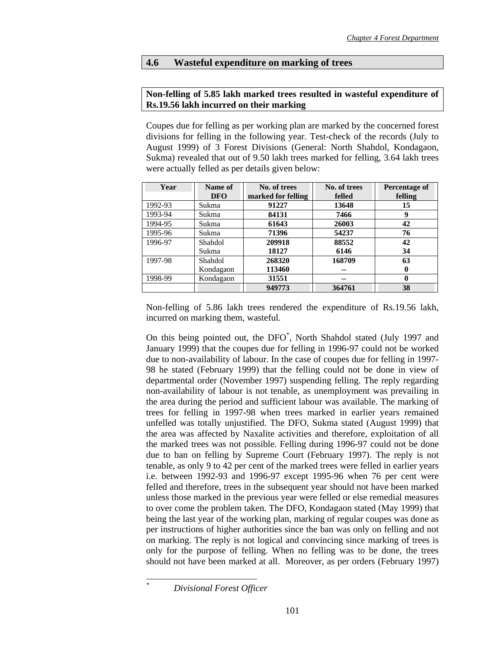# **4.6 Wasteful expenditure on marking of trees**

## **Non-felling of 5.85 lakh marked trees resulted in wasteful expenditure of Rs.19.56 lakh incurred on their marking**

Coupes due for felling as per working plan are marked by the concerned forest divisions for felling in the following year. Test-check of the records (July to August 1999) of 3 Forest Divisions (General: North Shahdol, Kondagaon, Sukma) revealed that out of 9.50 lakh trees marked for felling, 3.64 lakh trees were actually felled as per details given below:

| Year    | Name of    | No. of trees       | No. of trees | Percentage of |
|---------|------------|--------------------|--------------|---------------|
|         | <b>DFO</b> | marked for felling | felled       | felling       |
| 1992-93 | Sukma      | 91227              | 13648        | 15            |
| 1993-94 | Sukma      | 84131              | 7466         | 9             |
| 1994-95 | Sukma      | 61643              | 26003        | 42            |
| 1995-96 | Sukma      | 71396              | 54237        | 76            |
| 1996-97 | Shahdol    | 209918             | 88552        | 42            |
|         | Sukma      | 18127              | 6146         | 34            |
| 1997-98 | Shahdol    | 268320             | 168709       | 63            |
|         | Kondagaon  | 113460             |              |               |
| 1998-99 | Kondagaon  | 31551              | --           | 0             |
|         |            | 949773             | 364761       | 38            |

Non-felling of 5.86 lakh trees rendered the expenditure of Rs.19.56 lakh, incurred on marking them, wasteful.

On this being pointed out, the DFO\* , North Shahdol stated (July 1997 and January 1999) that the coupes due for felling in 1996-97 could not be worked due to non-availability of labour. In the case of coupes due for felling in 1997- 98 he stated (February 1999) that the felling could not be done in view of departmental order (November 1997) suspending felling. The reply regarding non-availability of labour is not tenable, as unemployment was prevailing in the area during the period and sufficient labour was available. The marking of trees for felling in 1997-98 when trees marked in earlier years remained unfelled was totally unjustified. The DFO, Sukma stated (August 1999) that the area was affected by Naxalite activities and therefore, exploitation of all the marked trees was not possible. Felling during 1996-97 could not be done due to ban on felling by Supreme Court (February 1997). The reply is not tenable, as only 9 to 42 per cent of the marked trees were felled in earlier years i.e. between 1992-93 and 1996-97 except 1995-96 when 76 per cent were felled and therefore, trees in the subsequent year should not have been marked unless those marked in the previous year were felled or else remedial measures to over come the problem taken. The DFO, Kondagaon stated (May 1999) that being the last year of the working plan, marking of regular coupes was done as per instructions of higher authorities since the ban was only on felling and not on marking. The reply is not logical and convincing since marking of trees is only for the purpose of felling. When no felling was to be done, the trees should not have been marked at all. Moreover, as per orders (February 1997)

*Divisional Forest Officer*